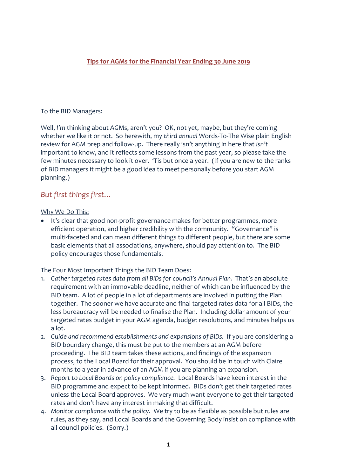## **Tips for AGMs for the Financial Year Ending 30 June 2019**

#### To the BID Managers:

Well, *I'm* thinking about AGMs, aren't you? OK, not yet, maybe, but they're coming whether we like it or not. So herewith, my *third annual* Words-To-The Wise plain English review for AGM prep and follow-up. There really isn't anything in here that *isn't* important to know, and it reflects some lessons from the past year, so please take the few minutes necessary to look it over. 'Tis but once a year. (If you are new to the ranks of BID managers it might be a good idea to meet personally before you start AGM planning.)

## *But first things first…*

#### Why We Do This:

• It's clear that good non-profit governance makes for better programmes, more efficient operation, and higher credibility with the community. "Governance" is multi-faceted and can mean different things to different people, but there are some basic elements that all associations, anywhere, should pay attention to. The BID policy encourages those fundamentals.

#### The Four Most Important Things the BID Team Does:

- 1. *Gather targeted rates data from all BIDs for council's Annual Plan.* That's an absolute requirement with an immovable deadline, neither of which can be influenced by the BID team. A lot of people in a lot of departments are involved in putting the Plan together. The sooner we have accurate and final targeted rates data for all BIDs, the less bureaucracy will be needed to finalise the Plan. Including dollar amount of your targeted rates budget in your AGM agenda, budget resolutions, and minutes helps us a lot.
- 2. *Guide and recommend establishments and expansions of BIDs.* If you are considering a BID boundary change, this must be put to the members at an AGM before proceeding. The BID team takes these actions, and findings of the expansion process, to the Local Board for their approval. You should be in touch with Claire months to a year in advance of an AGM if you are planning an expansion.
- 3. *Report to Local Boards on policy compliance.* Local Boards have keen interest in the BID programme and expect to be kept informed. BIDs don't get their targeted rates unless the Local Board approves. We very much want everyone to get their targeted rates and don't have any interest in making that difficult.
- 4. *Monitor compliance with the policy.* We try to be as flexible as possible but rules are rules, as they say, and Local Boards and the Governing Body insist on compliance with all council policies. (Sorry.)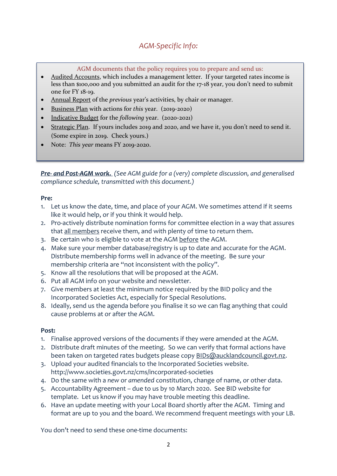# *AGM-Specific Info:*

AGM documents that the policy requires you to prepare and send us:

- Audited Accounts, which includes a management letter. If your targeted rates income is less than \$100,000 and you submitted an audit for the 17-18 year, you don't need to submit one for FY 18-19.
- Annual Report of the *previous* year's activities, by chair or manager.
- Business Plan with actions for *this* year. (2019-2020)
- Indicative Budget for the *following* year. (2020-2021)
- Strategic Plan. If yours includes 2019 and 2020, and we have it, you don't need to send it. (Some expire in 2019. Check yours.)
- Note: *This year* means FY 2019-2020.

*Pre- and Post-AGM work. (See AGM guide for a (very) complete discussion, and generalised compliance schedule, transmitted with this document.)*

#### **Pre:**

- 1. Let us know the date, time, and place of your AGM. We sometimes attend if it seems like it would help, or if you think it would help.
- 2. Pro-actively distribute nomination forms for committee election in a way that assures that all members receive them, and with plenty of time to return them.
- 3. Be certain who is eligible to vote at the AGM before the AGM.
- 4. Make sure your member database/registry is up to date and accurate for the AGM. Distribute membership forms well in advance of the meeting. Be sure your membership criteria are "not inconsistent with the policy".
- 5. Know all the resolutions that will be proposed at the AGM.
- 6. Put all AGM info on your website and newsletter.
- 7. Give members at least the minimum notice required by the BID policy and the Incorporated Societies Act, especially for Special Resolutions.
- 8. Ideally, send us the agenda before you finalise it so we can flag anything that could cause problems at or after the AGM.

#### **Post:**

- 1. Finalise approved versions of the documents if they were amended at the AGM.
- 2. Distribute draft minutes of the meeting. So we can verify that formal actions have been taken on targeted rates budgets please cop[y BIDs@aucklandcouncil.govt.nz.](mailto:BIDs@aucklandcouncil.govt.nz)
- 3. Upload your audited financials to the Incorporated Societies website. http://www.societies.govt.nz/cms/incorporated-societies
- 4. Do the same with a *new* or *amended* constitution, change of name, or other data.
- 5. Accountability Agreement due to us by 10 March 2020. See BID website for template. Let us know if you may have trouble meeting this deadline.
- 6. Have an update meeting with your Local Board shortly after the AGM. Timing and format are up to you and the board. We recommend frequent meetings with your LB.

You don't need to send these one-time documents: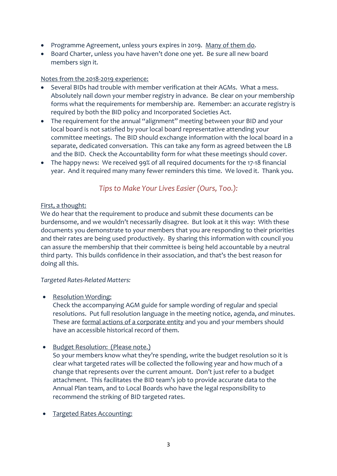- Programme Agreement, unless yours expires in 2019. Many of them do.
- Board Charter, unless you have haven't done one yet. Be sure all new board members sign it.

#### Notes from the 2018-2019 experience:

- Several BIDs had trouble with member verification at their AGMs. What a mess. Absolutely nail down your member registry in advance. Be clear on your membership forms what the requirements for membership are. Remember: an accurate registry is required by both the BID policy and Incorporated Societies Act.
- The requirement for the annual "alignment" meeting between your BID and your local board is not satisfied by your local board representative attending your committee meetings. The BID should exchange information with the local board in a separate, dedicated conversation. This can take any form as agreed between the LB and the BID. Check the Accountability form for what these meetings should cover.
- The happy news: We received 99% of all required documents for the 17-18 financial year. And it required many many fewer reminders this time. We loved it. Thank you.

*Tips to Make Your Lives Easier (Ours, Too.):*

#### First, a thought:

We do hear that the requirement to produce and submit these documents can be burdensome, and we wouldn't necessarily disagree. But look at it this way: With these documents you demonstrate to your members that you are responding to their priorities and their rates are being used productively. By sharing this information with council you can assure the membership that their committee is being held accountable by a neutral third party. This builds confidence in their association, and that's the best reason for doing all this.

#### *Targeted Rates-Related Matters:*

• Resolution Wording:

Check the accompanying AGM guide for sample wording of regular and special resolutions. Put full resolution language in the meeting notice, agenda, *and* minutes. These are formal actions of a corporate entity and you and your members should have an accessible historical record of them.

• Budget Resolution: (Please note.)

So your members know what they're spending, write the budget resolution so it is clear what targeted rates will be collected the following year and how much of a change that represents over the current amount. Don't just refer to a budget attachment. This facilitates the BID team's job to provide accurate data to the Annual Plan team, and to Local Boards who have the legal responsibility to recommend the striking of BID targeted rates.

• Targeted Rates Accounting: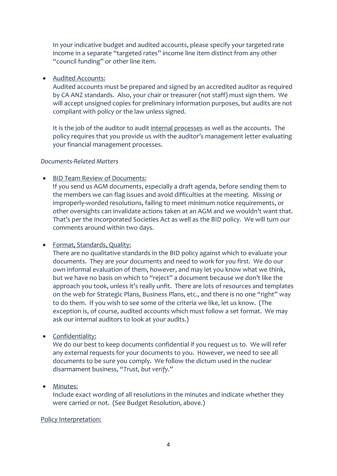In your indicative budget and audited accounts, please specify your targeted rate income in a separate "targeted rates" income line item distinct from any other "council funding" or other line item.

#### • Audited Accounts:

Audited accounts must be prepared and signed by an accredited auditor as required by CA ANZ standards. Also, your chair or treasurer (not staff) must sign them. We will accept unsigned copies for preliminary information purposes, but audits are not compliant with policy or the law unless signed.

It is the job of the auditor to audit internal processes as well as the accounts. The policy requires that you provide us with the auditor's management letter evaluating your financial management processes.

## *Documents-Related Matters*

## • BID Team Review of Documents:

If you send us AGM documents, especially a draft agenda, before sending them to the members we can flag issues and avoid difficulties at the meeting. Missing or improperly-worded resolutions, failing to meet minimum notice requirements, or other oversights can invalidate actions taken at an AGM and we wouldn't want that. That's per the Incorporated Societies Act as well as the BID policy. We will turn our comments around within two days.

#### • Format, Standards, Quality:

There are no qualitative standards in the BID policy against which to evaluate your documents. They are *your* documents and need to work for *you* first. We do our own informal evaluation of them, however, and may let you know what we think, but we have no basis on which to "reject" a document because we don't like the approach you took, unless it's really unfit. There are lots of resources and templates on the web for Strategic Plans, Business Plans, etc., and there is no one "right" way to do them. If you wish to see some of the criteria we like, let us know. (The exception is, of course, audited accounts which must follow a set format. We may ask our internal auditors to look at your audits.)

## • Confidentiality:

We do our best to keep documents confidential if you request us to. We will refer any external requests for your documents to you. However, we need to see all documents to be sure you comply. We follow the dictum used in the nuclear disarmament business, "*Trust, but verify*."

## • Minutes:

Include exact wording of all resolutions in the minutes and indicate whether they were carried or not. (See Budget Resolution, above.)

#### Policy Interpretation: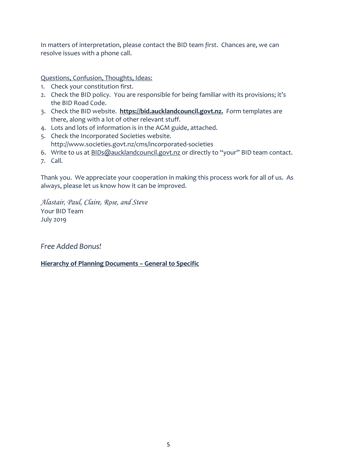In matters of interpretation, please contact the BID team *first*. Chances are, we can resolve issues with a phone call.

Questions, Confusion, Thoughts, Ideas:

- 1. Check your constitution first.
- 2. Check the BID policy. You are responsible for being familiar with its provisions; it's the BID Road Code.
- 3. Check the BID website. **[https://bid.aucklandcouncil.govt.nz.](https://bid.aucklandcouncil.govt.nz/)** Form templates are there, along with a lot of other relevant stuff.
- 4. Lots and lots of information is in the AGM guide, attached.
- 5. Check the Incorporated Societies website. http://www.societies.govt.nz/cms/incorporated-societies
- 6. Write to us at [BIDs@aucklandcouncil.govt.nz](mailto:BIDs@aucklandcouncil.govt.nz) or directly to "your" BID team contact.
- 7. Call.

Thank you. We appreciate your cooperation in making this process work for all of us. As always, please let us know how it can be improved.

*Alastair, Paul, Claire, Rose, and Steve* Your BID Team July 2019

*Free Added Bonus!*

#### **Hierarchy of Planning Documents – General to Specific**